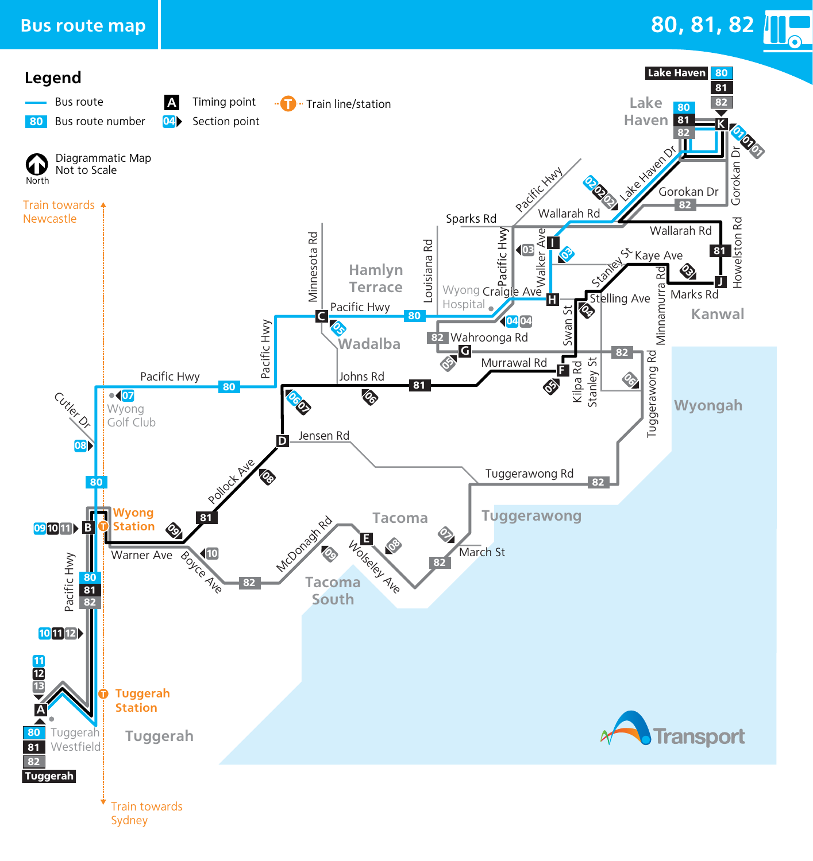